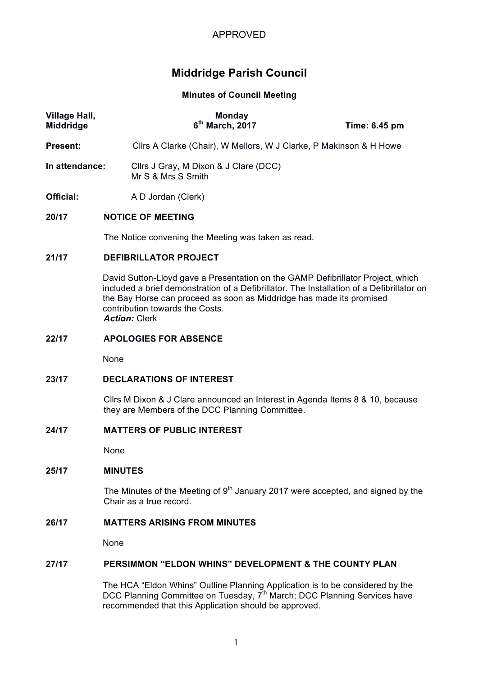

# **Middridge Parish Council**

# **Minutes of Council Meeting**

| Village Hall,<br><b>Middridge</b> | <b>Monday</b><br>$6th$ March, 2017                                 | Time: 6.45 pm |
|-----------------------------------|--------------------------------------------------------------------|---------------|
| Present:                          | Cllrs A Clarke (Chair), W Mellors, W J Clarke, P Makinson & H Howe |               |
| In attendance:                    | Cllrs J Gray, M Dixon & J Clare (DCC)<br>Mr S & Mrs S Smith        |               |
| Official:                         | A D Jordan (Clerk)                                                 |               |

# **20/17 NOTICE OF MEETING**

The Notice convening the Meeting was taken as read.

#### **21/17 DEFIBRILLATOR PROJECT**

David Sutton-Lloyd gave a Presentation on the GAMP Defibrillator Project, which included a brief demonstration of a Defibrillator. The Installation of a Defibrillator on the Bay Horse can proceed as soon as Middridge has made its promised contribution towards the Costs. *Action:* Clerk

#### **22/17 APOLOGIES FOR ABSENCE**

None

#### **23/17 DECLARATIONS OF INTEREST**

Cllrs M Dixon & J Clare announced an Interest in Agenda Items 8 & 10, because they are Members of the DCC Planning Committee.

# **24/17 MATTERS OF PUBLIC INTEREST**

None

# **25/17 MINUTES**

The Minutes of the Meeting of  $9<sup>th</sup>$  January 2017 were accepted, and signed by the Chair as a true record.

#### **26/17 MATTERS ARISING FROM MINUTES**

None

#### **27/17 PERSIMMON "ELDON WHINS" DEVELOPMENT & THE COUNTY PLAN**

The HCA "Eldon Whins" Outline Planning Application is to be considered by the DCC Planning Committee on Tuesday, 7<sup>th</sup> March; DCC Planning Services have recommended that this Application should be approved.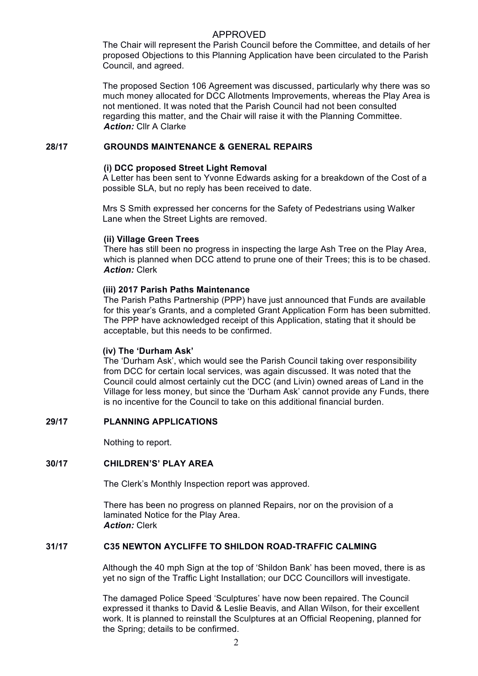# APPROVED

The Chair will represent the Parish Council before the Committee, and details of her proposed Objections to this Planning Application have been circulated to the Parish Council, and agreed.

The proposed Section 106 Agreement was discussed, particularly why there was so much money allocated for DCC Allotments Improvements, whereas the Play Area is not mentioned. It was noted that the Parish Council had not been consulted regarding this matter, and the Chair will raise it with the Planning Committee. *Action:* Cllr A Clarke

#### **28/17 GROUNDS MAINTENANCE & GENERAL REPAIRS**

### **(i) DCC proposed Street Light Removal**

A Letter has been sent to Yvonne Edwards asking for a breakdown of the Cost of a possible SLA, but no reply has been received to date.

Mrs S Smith expressed her concerns for the Safety of Pedestrians using Walker Lane when the Street Lights are removed.

#### **(ii) Village Green Trees**

There has still been no progress in inspecting the large Ash Tree on the Play Area, which is planned when DCC attend to prune one of their Trees; this is to be chased. *Action:* Clerk

# **(iii) 2017 Parish Paths Maintenance**

The Parish Paths Partnership (PPP) have just announced that Funds are available for this year's Grants, and a completed Grant Application Form has been submitted. The PPP have acknowledged receipt of this Application, stating that it should be acceptable, but this needs to be confirmed.

#### **(iv) The 'Durham Ask'**

The 'Durham Ask', which would see the Parish Council taking over responsibility from DCC for certain local services, was again discussed. It was noted that the Council could almost certainly cut the DCC (and Livin) owned areas of Land in the Village for less money, but since the 'Durham Ask' cannot provide any Funds, there is no incentive for the Council to take on this additional financial burden.

# **29/17 PLANNING APPLICATIONS**

Nothing to report.

# **30/17 CHILDREN'S' PLAY AREA**

The Clerk's Monthly Inspection report was approved.

There has been no progress on planned Repairs, nor on the provision of a laminated Notice for the Play Area. *Action:* Clerk

#### **31/17 C35 NEWTON AYCLIFFE TO SHILDON ROAD-TRAFFIC CALMING**

Although the 40 mph Sign at the top of 'Shildon Bank' has been moved, there is as yet no sign of the Traffic Light Installation; our DCC Councillors will investigate.

The damaged Police Speed 'Sculptures' have now been repaired. The Council expressed it thanks to David & Leslie Beavis, and Allan Wilson, for their excellent work. It is planned to reinstall the Sculptures at an Official Reopening, planned for the Spring; details to be confirmed.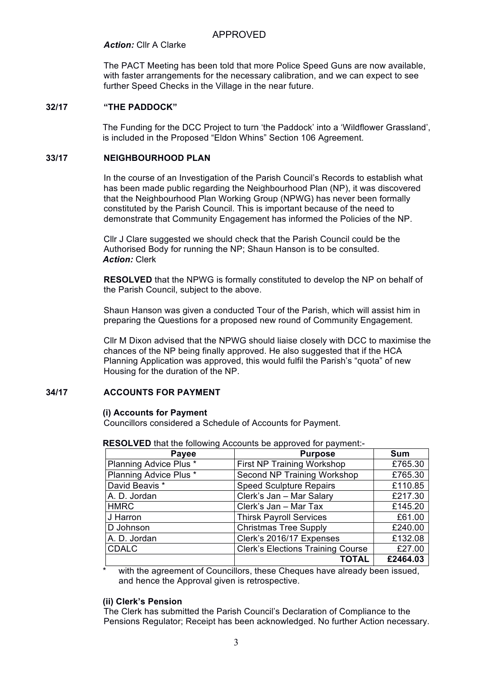# APPROVED

#### *Action:* Cllr A Clarke

The PACT Meeting has been told that more Police Speed Guns are now available, with faster arrangements for the necessary calibration, and we can expect to see further Speed Checks in the Village in the near future.

#### **32/17 "THE PADDOCK"**

The Funding for the DCC Project to turn 'the Paddock' into a 'Wildflower Grassland', is included in the Proposed "Eldon Whins" Section 106 Agreement.

# **33/17 NEIGHBOURHOOD PLAN**

In the course of an Investigation of the Parish Council's Records to establish what has been made public regarding the Neighbourhood Plan (NP), it was discovered that the Neighbourhood Plan Working Group (NPWG) has never been formally constituted by the Parish Council. This is important because of the need to demonstrate that Community Engagement has informed the Policies of the NP.

Cllr J Clare suggested we should check that the Parish Council could be the Authorised Body for running the NP; Shaun Hanson is to be consulted. *Action:* Clerk

**RESOLVED** that the NPWG is formally constituted to develop the NP on behalf of the Parish Council, subject to the above.

Shaun Hanson was given a conducted Tour of the Parish, which will assist him in preparing the Questions for a proposed new round of Community Engagement.

Cllr M Dixon advised that the NPWG should liaise closely with DCC to maximise the chances of the NP being finally approved. He also suggested that if the HCA Planning Application was approved, this would fulfil the Parish's "quota" of new Housing for the duration of the NP.

# **34/17 ACCOUNTS FOR PAYMENT**

#### **(i) Accounts for Payment**

Councillors considered a Schedule of Accounts for Payment.

| Payee                  | <b>Purpose</b>                           | Sum      |
|------------------------|------------------------------------------|----------|
| Planning Advice Plus * | First NP Training Workshop               | £765.30  |
| Planning Advice Plus * | Second NP Training Workshop              | £765.30  |
| David Beavis *         | <b>Speed Sculpture Repairs</b>           | £110.85  |
| A. D. Jordan           | Clerk's Jan - Mar Salary                 | £217.30  |
| <b>HMRC</b>            | Clerk's Jan - Mar Tax                    | £145.20  |
| J Harron               | <b>Thirsk Payroll Services</b>           | £61.00   |
| D Johnson              | <b>Christmas Tree Supply</b>             | £240.00  |
| A. D. Jordan           | Clerk's 2016/17 Expenses                 | £132.08  |
| <b>CDALC</b>           | <b>Clerk's Elections Training Course</b> | £27.00   |
|                        | <b>TOTAL</b>                             | £2464.03 |

**RESOLVED** that the following Accounts be approved for payment:-

with the agreement of Councillors, these Cheques have already been issued, and hence the Approval given is retrospective.

#### **(ii) Clerk's Pension**

The Clerk has submitted the Parish Council's Declaration of Compliance to the Pensions Regulator; Receipt has been acknowledged. No further Action necessary.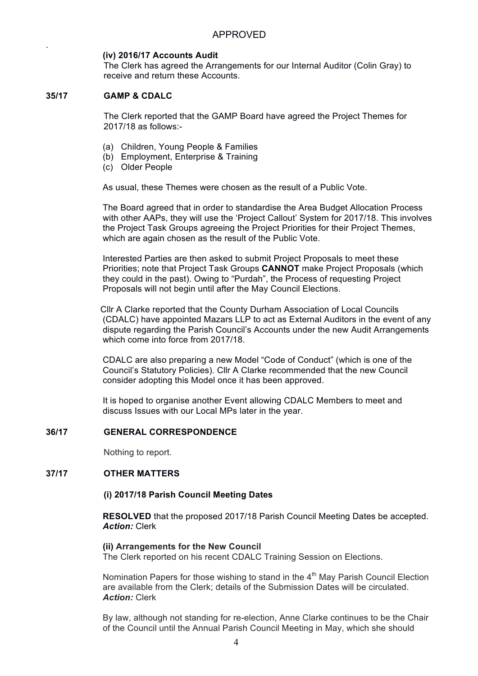# **(iv) 2016/17 Accounts Audit**

The Clerk has agreed the Arrangements for our Internal Auditor (Colin Gray) to receive and return these Accounts.

# **35/17 GAMP & CDALC**

.

The Clerk reported that the GAMP Board have agreed the Project Themes for 2017/18 as follows:-

- (a) Children, Young People & Families
- (b) Employment, Enterprise & Training
- (c) Older People

As usual, these Themes were chosen as the result of a Public Vote.

The Board agreed that in order to standardise the Area Budget Allocation Process with other AAPs, they will use the 'Project Callout' System for 2017/18. This involves the Project Task Groups agreeing the Project Priorities for their Project Themes, which are again chosen as the result of the Public Vote.

Interested Parties are then asked to submit Project Proposals to meet these Priorities; note that Project Task Groups **CANNOT** make Project Proposals (which they could in the past). Owing to "Purdah", the Process of requesting Project Proposals will not begin until after the May Council Elections.

Cllr A Clarke reported that the County Durham Association of Local Councils (CDALC) have appointed Mazars LLP to act as External Auditors in the event of any dispute regarding the Parish Council's Accounts under the new Audit Arrangements which come into force from 2017/18.

CDALC are also preparing a new Model "Code of Conduct" (which is one of the Council's Statutory Policies). Cllr A Clarke recommended that the new Council consider adopting this Model once it has been approved.

It is hoped to organise another Event allowing CDALC Members to meet and discuss Issues with our Local MPs later in the year.

#### **36/17 GENERAL CORRESPONDENCE**

Nothing to report.

# **37/17 OTHER MATTERS**

#### **(i) 2017/18 Parish Council Meeting Dates**

**RESOLVED** that the proposed 2017/18 Parish Council Meeting Dates be accepted. *Action:* Clerk

#### **(ii) Arrangements for the New Council**

The Clerk reported on his recent CDALC Training Session on Elections.

Nomination Papers for those wishing to stand in the  $4<sup>th</sup>$  May Parish Council Election are available from the Clerk; details of the Submission Dates will be circulated. *Action:* Clerk

By law, although not standing for re-election, Anne Clarke continues to be the Chair of the Council until the Annual Parish Council Meeting in May, which she should